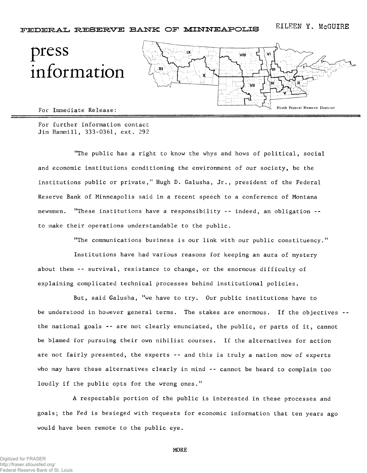## press information



For Immediate Release:

For further information contact Jim Hammill, 333-0361, ext. 292

"The public has a right to know the whys and hows of political, social and economic institutions conditioning the environment of our society, be the institutions public or private," Hugh D. Galusha, Jr., president of the Federal Reserve Bank of Minneapolis said in a recent speech to a conference of Montana newsmen. "These institutions have a responsibility -- indeed, an obligation - to make their operations understandable to the public.

"The communications business is our link with our public constituency."

Institutions have had various reasons for keeping an aura of mystery about them -- survival, resistance to change, or the enormous difficulty of explaining complicated technical processes behind institutional policies.

But, said Galusha, "we have to try. Our public institutions have to be understood in however general terms. The stakes are enormous. If the objectives -the national goals -- are not clearly enunciated, the public, or parts of it, cannot be blamed for pursuing their own nihilist courses. If the alternatives for action are not fairly presented, the experts -- and this is truly a nation now of experts who may have these alternatives clearly in mind -- cannot be heard to complain too loudly if the public opts for the wrong ones."

A respectable portion of the public is interested in these processes and goals; the Fed is besieged with requests for economic information that ten years ago would have been remote to the public eye.

MORE